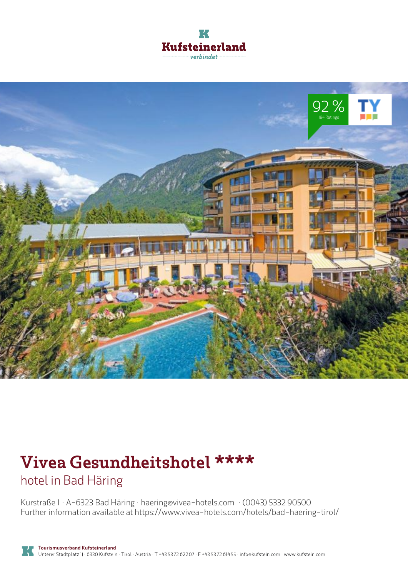



# **Vivea Gesundheitshotel \*\*\*\***

hotel in Bad Häring

Kurstraße 1 · A-6323 Bad Häring · **haering@vivea-hotels.com** · **(0043) 5332 90500** Further information available at **https://www.vivea-hotels.com/hotels/bad-haering-tirol/**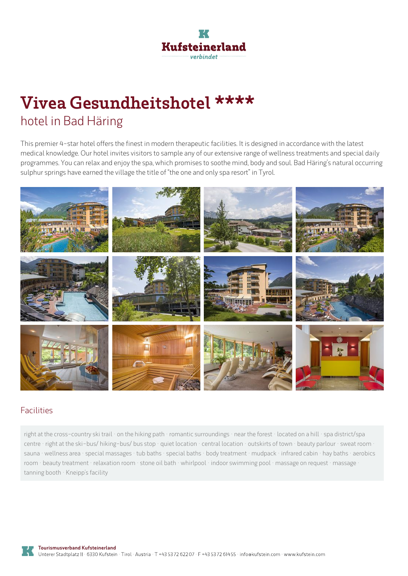

## **Vivea Gesundheitshotel \*\*\*\*** hotel in Bad Häring

This premier 4-star hotel offers the finest in modern therapeutic facilities. It is designed in accordance with the latest medical knowledge. Our hotel invites visitors to sample any of our extensive range of wellness treatments and special daily programmes. You can relax and enjoy the spa, which promises to soothe mind, body and soul. Bad Häring's natural occurring sulphur springs have earned the village the title of "the one and only spa resort" in Tyrol.



#### Facilities

right at the cross-country ski trail · on the hiking path · romantic surroundings · near the forest · located on <sup>a</sup> hill · spa district/spa centre · right at the ski-bus/ hiking-bus/ bus stop · quiet location · central location · outskirts of town · beauty parlour · sweat room · sauna · wellness area · special massages · tub baths · special baths · body treatment · mudpack · infrared cabin · hay baths · aerobics room · beauty treatment · relaxation room · stone oil bath · whirlpool · indoor swimming pool · massage on request · massage · tanning booth · Kneipp's facility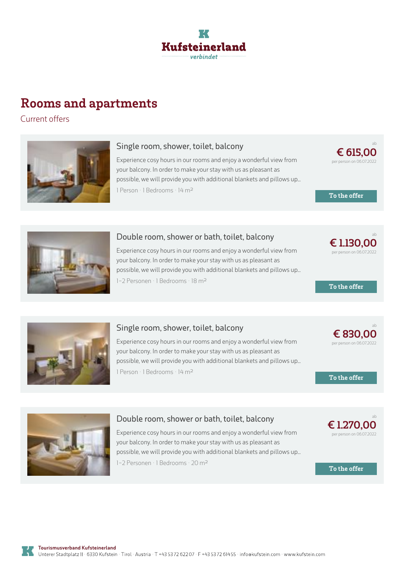

### **Rooms and apartments**

Current offers



#### **Single room, shower, toilet, balcony**

Experience cosy hours in our rooms and enjoy <sup>a</sup> wonderful view from your balcony. In order to make your stay with us as pleasant as possible, we will provide you with additional blankets and pillows up... 1 Person · 1 Bedrooms · 14 <sup>m</sup><sup>²</sup>

**€ [615,00](https://www.kufstein.com/en/book/bad-haering/hotel/vivea-gesundheitshotel.html?utm_medium=PDF&utm_campaign=Vermieter-Prospekt&utm_source=Vivea+Gesundheitshotel)** per person on 06.07.2022

ab

**To the offer**



#### **Double room, shower or bath, toilet, balcony**

Experience cosy hours in our rooms and enjoy <sup>a</sup> wonderful view from your balcony. In order to make your stay with us as pleasant as possible, we will provide you with additional blankets and pillows up... 1-2 Personen · 1 Bedrooms · 18 <sup>m</sup><sup>²</sup>

ab **€ [1.130,00](https://www.kufstein.com/en/book/bad-haering/hotel/vivea-gesundheitshotel.html?utm_medium=PDF&utm_campaign=Vermieter-Prospekt&utm_source=Vivea+Gesundheitshotel)** per person on 06.07.2022

**To the offer**



#### **Single room, shower, toilet, balcony**

Experience cosy hours in our rooms and enjoy <sup>a</sup> wonderful view from your balcony. In order to make your stay with us as pleasant as possible, we will provide you with additional blankets and pillows up... 1 Person · 1 Bedrooms · 14 <sup>m</sup><sup>²</sup>



ab

**To the offer**

**€ [1.270,00](https://www.kufstein.com/en/book/bad-haering/hotel/vivea-gesundheitshotel.html?utm_medium=PDF&utm_campaign=Vermieter-Prospekt&utm_source=Vivea+Gesundheitshotel)** per person on 06.07.2022

**To the offer**



#### **Double room, shower or bath, toilet, balcony**

Experience cosy hours in our rooms and enjoy <sup>a</sup> wonderful view from your balcony. In order to make your stay with us as pleasant as possible, we will provide you with additional blankets and pillows up...

1-2 Personen · 1 Bedrooms · 20 <sup>m</sup><sup>²</sup>